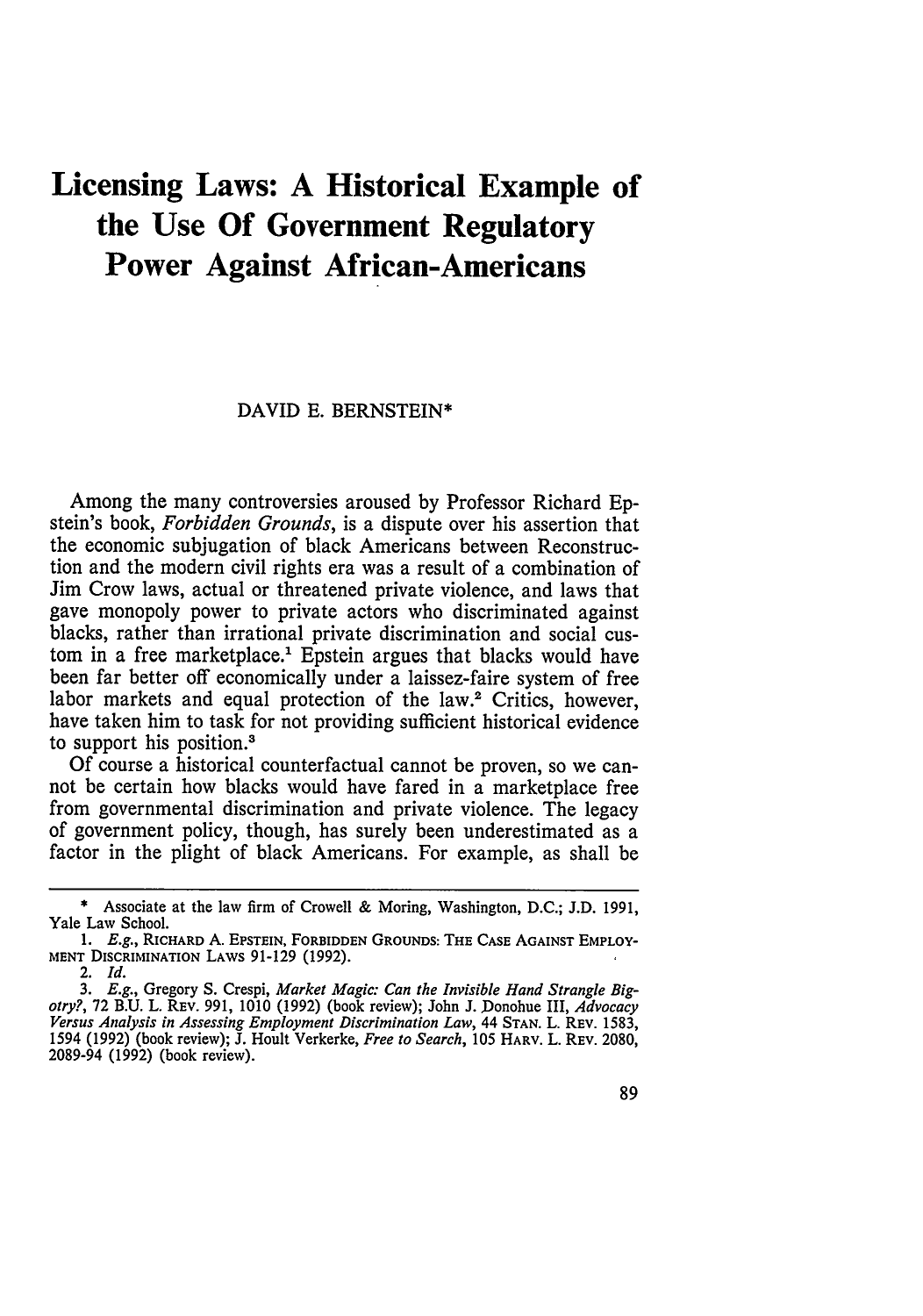# **Licensing Laws: A Historical Example of the Use Of Government Regulatory Power Against African-Americans**

#### DAVID E. BERNSTEIN\*

Among the many controversies aroused by Professor Richard Epstein's book, *Forbidden Grounds,* is a dispute over his assertion that the economic subjugation of black Americans between Reconstruction and the modern civil rights era was a result of a combination of Jim Crow laws, actual or threatened private violence, and laws that gave monopoly power to private actors who discriminated against blacks, rather than irrational private discrimination and social custom in a free marketplace.' Epstein argues that blacks would have been far better off economically under a laissez-faire system of free labor markets and equal protection of the law.<sup>2</sup> Critics, however, have taken him to task for not providing sufficient historical evidence to support his position.'

Of course a historical counterfactual cannot be proven, so we cannot be certain how blacks would have fared in a marketplace free from governmental discrimination and private violence. The legacy of government policy, though, has surely been underestimated as a factor in the plight of black Americans. For example, as shall be

**<sup>\*</sup>** Associate at the law firm of Crowell & Moring, Washington, **D.C.; J.D. 1991,** Yale Law School.

*<sup>1.</sup> E.g.,* **RICHARD A. EPSTEIN, FORBIDDEN GROUNDS: THE CASE AGAINST EMPLOY-MENT DISCRIMINATION LAWS 91-129 (1992).**

<sup>2.</sup> *Id.*

*<sup>3.</sup> E.g.,* Gregory **S.** Crespi, *Market Magic: Can the Invisible Hand Strangle Bigotry?,* 72 B.U. L. REv. 991, 1010 (1992) (book review); John J. Donohue III, *Advocacy Versus Analysis in Assessing Employment Discrimination Law,* 44 **STAN.** L. REV. 1583, 1594 (1992) (book review); J. Hoult Verkerke, *Free to Search,* 105 HARV. L. REV. 2080, 2089-94 (1992) (book review).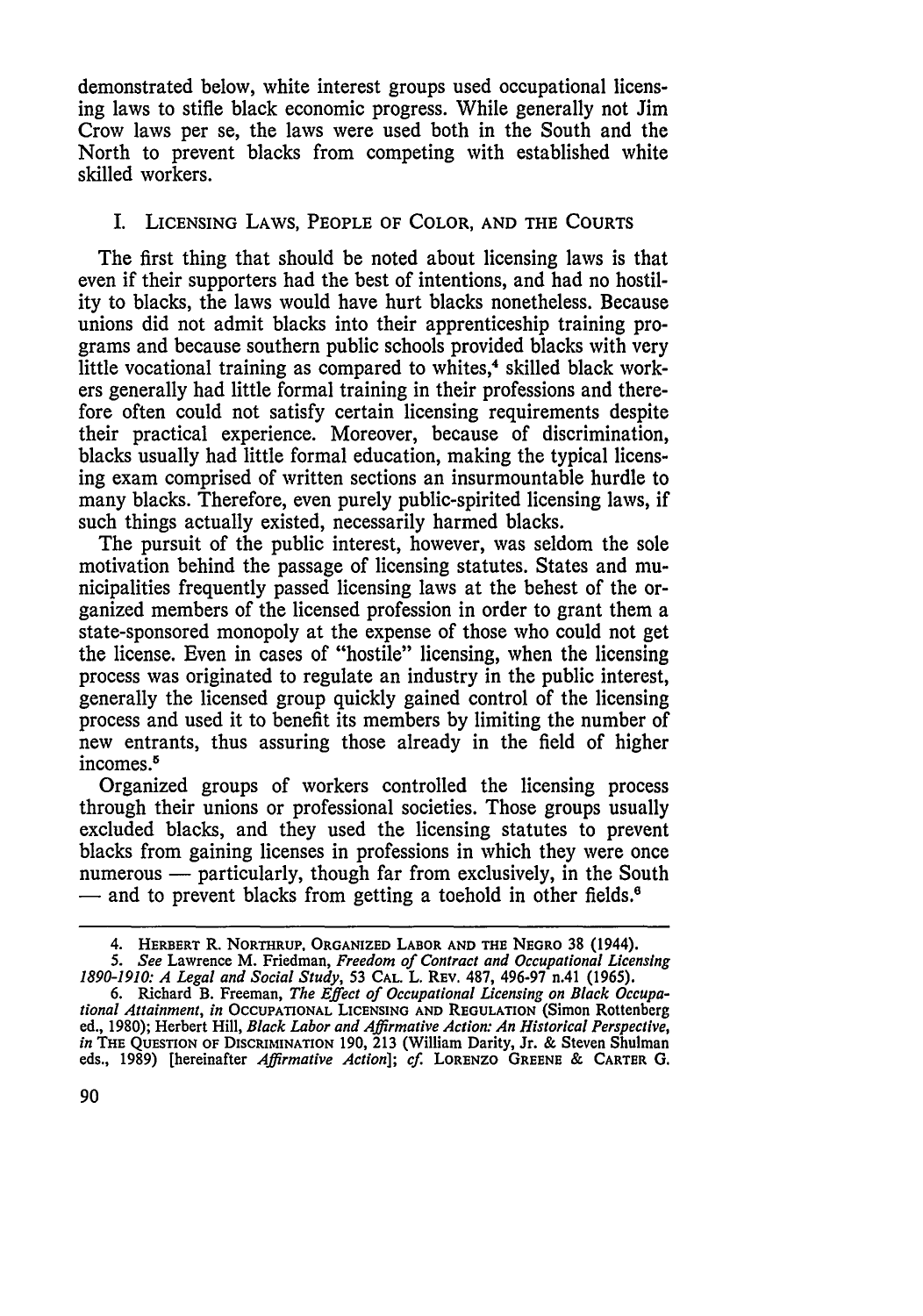demonstrated below, white interest groups used occupational licensing laws to stifle black economic progress. While generally not Jim Crow laws per se, the laws were used both in the South and the North to prevent blacks from competing with established white skilled workers.

#### I. **LICENSING** LAWS, PEOPLE OF COLOR, **AND** THE **COURTS**

The first thing that should be noted about licensing laws is that even if their supporters had the best of intentions, and had no hostility to blacks, the laws would have hurt blacks nonetheless. Because unions did not admit blacks into their apprenticeship training programs and because southern public schools provided blacks with very little vocational training as compared to whites,<sup>4</sup> skilled black workers generally had little formal training in their professions and therefore often could not satisfy certain licensing requirements despite their practical experience. Moreover, because of discrimination, blacks usually had little formal education, making the typical licensing exam comprised of written sections an insurmountable hurdle to many blacks. Therefore, even purely public-spirited licensing laws, if such things actually existed, necessarily harmed blacks.

The pursuit of the public interest, however, was seldom the sole motivation behind the passage of licensing statutes. States and municipalities frequently passed licensing laws at the behest of the organized members of the licensed profession in order to grant them a state-sponsored monopoly at the expense of those who could not get the license. Even in cases of "hostile" licensing, when the licensing process was originated to regulate an industry in the public interest, generally the licensed group quickly gained control of the licensing process and used it to benefit its members by limiting the number of new entrants, thus assuring those already in the field of higher incomes.<sup>5</sup>

Organized groups of workers controlled the licensing process through their unions or professional societies. Those groups usually excluded blacks, and they used the licensing statutes to prevent blacks from gaining licenses in professions in which they were once numerous — particularly, though far from exclusively, in the South - and to prevent blacks from getting a toehold in other fields.<sup>6</sup>

<sup>4.</sup> HERBERT R. NORTHRUP. ORGANIZED LABOR **AND** THE NEGRO **38 (1944).**

**<sup>5.</sup>** *See* Lawrence M. Friedman, *Freedom* of Contract *and Occupational Licensing 1890-1910: A Legal and Social Study,* 53 **CAL.** L. REv. **487, 496-97** n.41 **(1965).**

<sup>6.</sup> Richard B. Freeman, *The Effect of Occupational Licensing on Black Occupational Attainment, in* OCCUPATIONAL **LICENSING AND** REGULATION (Simon Rottenberg ed., 1980); Herbert Hill, *Black Labor and Affirmative Action: An Historical Perspective, in* **THE QUESTION** OF DISCRIMINATION 190, 213 (William Darity, Jr. & Steven Shulman eds., 1989) [hereinafter *Affirmative Action]; cf.* LORENZO **GREENE &** CARTER **0.**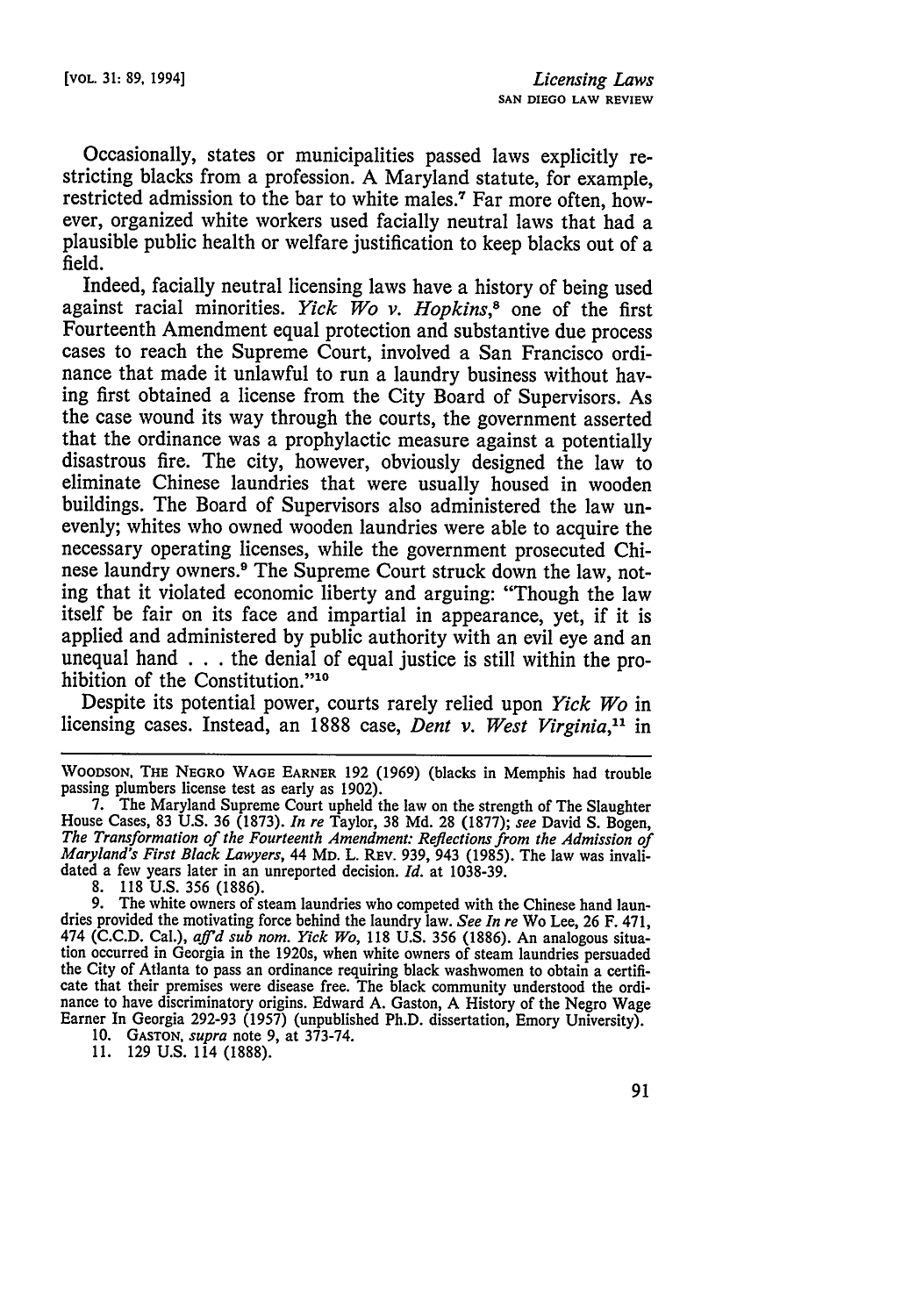Occasionally, states or municipalities passed laws explicitly restricting blacks from a profession. **A** Maryland statute, for example, restricted admission to the bar to white males.7 Far more often, however, organized white workers used facially neutral laws that had a plausible public health or welfare justification to keep blacks out of a field.

Indeed, facially neutral licensing laws have a history of being used against racial minorities. *Yick Wo v. Hopkins,8* one of the first Fourteenth Amendment equal protection and substantive due process cases to reach the Supreme Court, involved a San Francisco ordinance that made it unlawful to run a laundry business without having first obtained a license from the City Board of Supervisors. As the case wound its way through the courts, the government asserted that the ordinance was a prophylactic measure against a potentially disastrous fire. The city, however, obviously designed the law to eliminate Chinese laundries that were usually housed in wooden buildings. The Board of Supervisors also administered the law unevenly; whites who owned wooden laundries were able to acquire the necessary operating licenses, while the government prosecuted Chinese laundry owners.<sup>9</sup> The Supreme Court struck down the law, noting that it violated economic liberty and arguing: "Though the law itself be fair on its face and impartial in appearance, yet, if it is applied and administered **by** public authority with an evil eye and an unequal hand **.. .**the denial of equal justice is still within the prohibition of the Constitution."<sup>10</sup>

Despite its potential power, courts rarely relied upon *Yick Wo* in licensing cases. Instead, an 1888 case, *Dent v. West Virginia,"* in

yous later in an<br>8. 118 U.S. 356 (1886).<br>9. The white compared The white owners of steam laundries who competed with the Chinese hand laundries provided the motivating force behind the laundry law. *See In re* Wo Lee, 26 F. 471, 474 (C.C.D. Cal.), *afid sub nom. Yick Wo,* 118 U.S. 356 (1886). An analogous situation occurred in Georgia in the 1920s, when white owners of steam laundries persuaded the City of Atlanta to pass an ordinance requiring black washwomen to obtain a certificate that their premises were disease free. The black community understood the ordi- nance to have discriminatory origins. Edward A. Gaston, A History of the Negro Wage Earner In Georgia 292-93 (1957) (unpublished Ph.D. dissertation, Emory University).

10. **GASTON,** *supra* note 9, at 373-74.

**11.** 129 **U.S.** 114 (1888).

WOODSON . THE NEGRO WAGE EARNER 192 (1969) (blacks in Memphis had trouble passing plumbers license test as early as 1902).<br>7. The Maryland Supreme Court upheld the law on the strength of The Slaughter

House Cases, 83 U.S. 36 (1873). In re Taylor, 38 Md. 28 (1877); see David S. Bogen, The Transformation of the Fourteenth Amendment: Reflections from the Admission of Maryland's First Black Lawyers, 44 Mp. L. REV. 939, 943 dated a few years later in an unreported decision. *Id.* at 1038-39.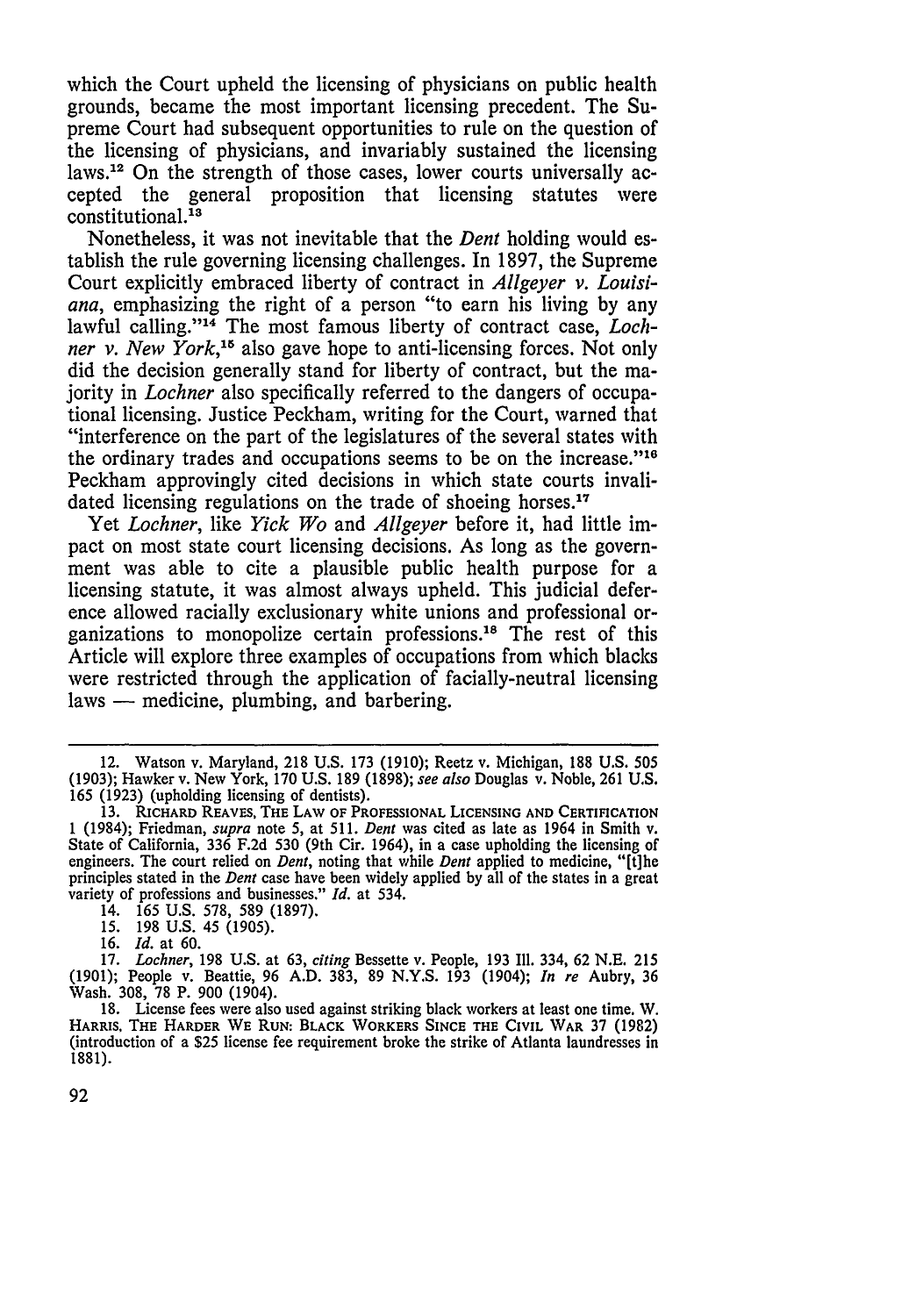which the Court upheld the licensing of physicians on public health grounds, became the most important licensing precedent. The Supreme Court had subsequent opportunities to rule on the question of the licensing of physicians, and invariably sustained the licensing laws.12 On the strength of those cases, lower courts universally accepted the general proposition that licensing statutes were constitutional.<sup>13</sup>

Nonetheless, it was not inevitable that the *Dent* holding would establish the rule governing licensing challenges. In 1897, the Supreme Court explicitly embraced liberty of contract in *Allgeyer v. Louisiana,* emphasizing the right of a person "to earn his living by any lawful calling."14 The most famous liberty of contract case, *Lochner v. New York*,<sup>15</sup> also gave hope to anti-licensing forces. Not only did the decision generally stand for liberty of contract, but the majority in *Lochner* also specifically referred to the dangers of occupational licensing. Justice Peckham, writing for the Court, warned that "interference on the part of the legislatures of the several states with the ordinary trades and occupations seems to be on the increase. $116$ Peckham approvingly cited decisions in which state courts invalidated licensing regulations on the trade of shoeing horses.<sup>17</sup>

Yet *Lochner,* like *Yick Wo* and *Allgeyer* before it, had little impact on most state court licensing decisions. As long as the government was able to cite a plausible public health purpose for a licensing statute, it was almost always upheld. This judicial deference allowed racially exclusionary white unions and professional organizations to monopolize certain professions. 18 The rest of this Article will explore three examples of occupations from which blacks were restricted through the application of facially-neutral licensing  $laws$  — medicine, plumbing, and barbering.

14. **165 U.S.** 578, **589 (1897).**

<sup>12.</sup> Watson v. Maryland, 218 U.S. 173 (1910); Reetz v. Michigan, 188 U.S. 505 (1903); Hawker v. New York, 170 U.S. 189 (1898); *see also* Douglas v. Noble, 261 U.S. 165 (1923) (upholding licensing of dentists).

**<sup>13.</sup>** RICHARD REAVES, THE LAW OF **PROFESSIONAL LICENSING AND CERTIFICATION** 1 (1984); Friedman, *supra* note **5,** at **511.** *Dent* was cited as late as 1964 in Smith v. State of California, **336 F.2d 530** (9th Cir. 1964), in a case upholding the licensing of engineers. The court relied on *Dent,* noting that while *Dent* applied to medicine, "[t]he principles stated in the *Dent* case have been widely applied **by** all of the states in a great variety of professions and businesses." *Id.* at 534.

**<sup>15.</sup>** 198 **U.S.** 45 (1905).

<sup>16.</sup> *Id.* at 60.

<sup>17.</sup> *Lochner,* 198 U.S. at 63, *citing* Bessette v. People, 193 Ill. 334, 62 N.E. 215 (1901); People v. Beattie, 96 A.D. 383, 89 N.Y.S. 193 (1904); *In re* Aubry, 36 Wash. 308, 78 P. 900 (1904).

<sup>18.</sup> License fees were also used against striking black workers at least one time. W. HARRIS, **THE** HARDER WE **RUN:** BLACK WORKERS **SINCE THE** CIVIL WAR **37 (1982)** (introduction of a \$25 license fee requirement broke the strike of Atlanta laundresses in 1881).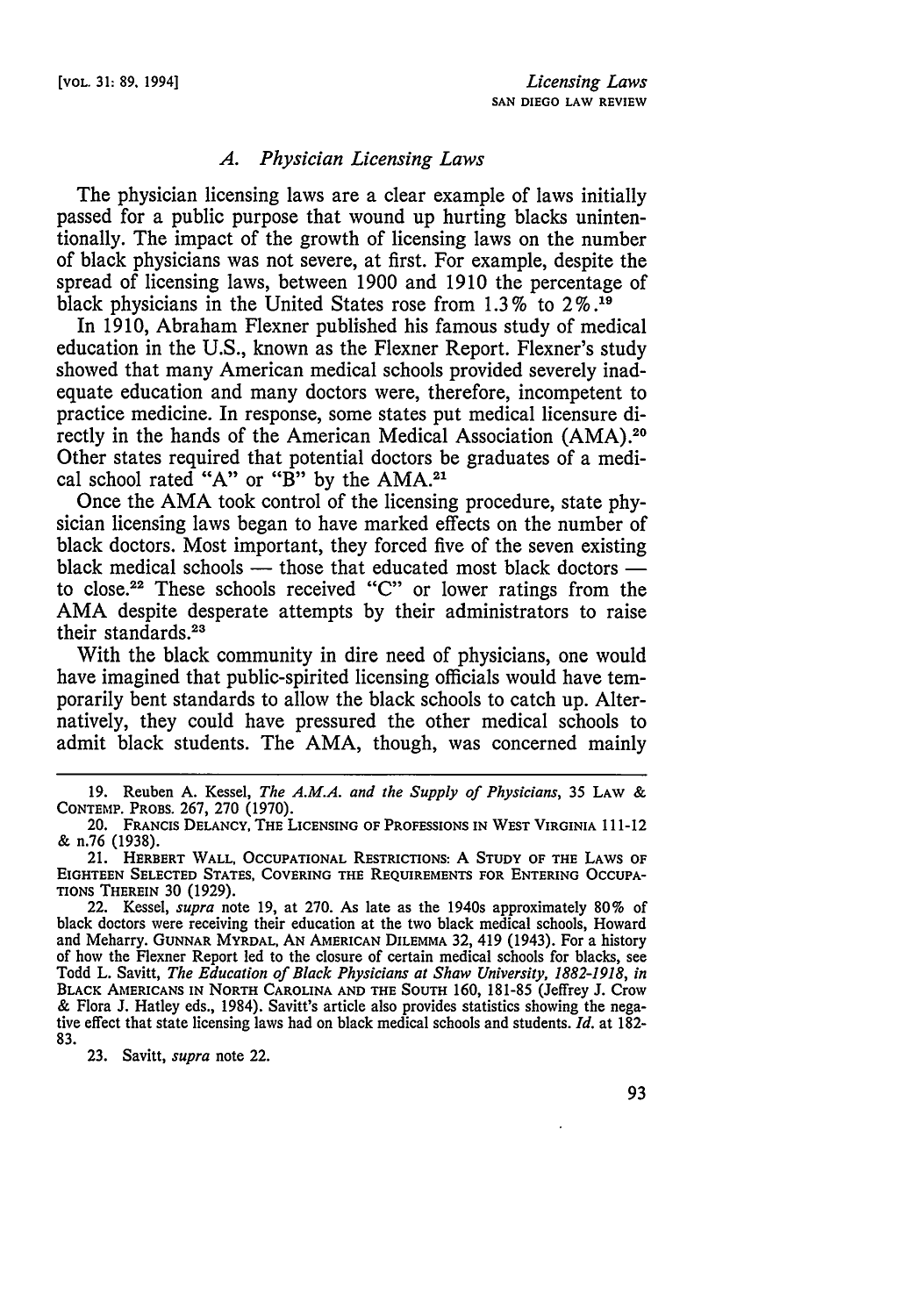### *A. Physician Licensing Laws*

The physician licensing laws are a clear example of laws initially passed for a public purpose that wound up hurting blacks unintentionally. The impact of the growth of licensing laws on the number of black physicians was not severe, at first. For example, despite the spread of licensing laws, between 1900 and 1910 the percentage of black physicians in the United States rose from 1.3 % to **2%.19**

In 1910, Abraham Flexner published his famous study of medical education in the U.S., known as the Flexner Report. Flexner's study showed that many American medical schools provided severely inadequate education and many doctors were, therefore, incompetent to practice medicine. In response, some states put medical licensure directly in the hands of the American Medical Association (AMA).20 Other states required that potential doctors be graduates of a medical school rated "A" or " $\vec{B}$ " by the AMA.<sup>21</sup>

Once the AMA took control of the licensing procedure, state physician licensing laws began to have marked effects on the number of black doctors. Most important, they forced five of the seven existing black medical schools — those that educated most black doctors to close.22 These schools received "C" or lower ratings from the AMA despite desperate attempts by their administrators to raise their standards.<sup>23</sup>

With the black community in dire need of physicians, one would have imagined that public-spirited licensing officials would have temporarily bent standards to allow the black schools to catch up. Alternatively, they could have pressured the other medical schools to admit black students. The AMA, though, was concerned mainly

23. Savitt, *supra* note 22.

<sup>19.</sup> Reuben A. Kessel, *The A.M.A. and the Supply of Physicians,* 35 LAW & **CONTEMP.** PROBS. 267, **270** (1970).

<sup>20.</sup> FRANCIS DELANCY, **THE LICENSING** OF **PROFESSIONS IN** WEST VIRGINIA 111-12 & n.76 (1938).

<sup>21.</sup> **HERBERT WALL, OCCUPATIONAL** RESTRICTIONS: A **STUDY** OF **THE** LAWS OF **EIGHTEEN SELECTED STATES, COVERING THE REQUIREMENTS** FOR **ENTERING OCCUPA-**TIONS THEREIN 30 (1929).

<sup>22.</sup> Kessel, *supra* note 19, at 270. As late as the 1940s approximately 80% of black doctors were receiving their education at the two black medical schools, Howard and Meharry. **GUNNAR** MYRDAL, **AN** AMERICAN **DILEMMA** 32, 419 (1943). For a history of how the Flexner Report led to the closure of certain medical schools for blacks, see Todd L. Savitt, *The Education of Black Physicians at Shaw University, 1882-1918, in* **BLACK AMERICANS IN NORTH CAROLINA AND THE SOUTH** 160, 181-85 (Jeffrey **J.** Crow & Flora J. Hatley eds., 1984). Savitt's article also provides statistics showing the negative effect that state licensing laws had on black medical schools and students. *Id.* at 182- 83.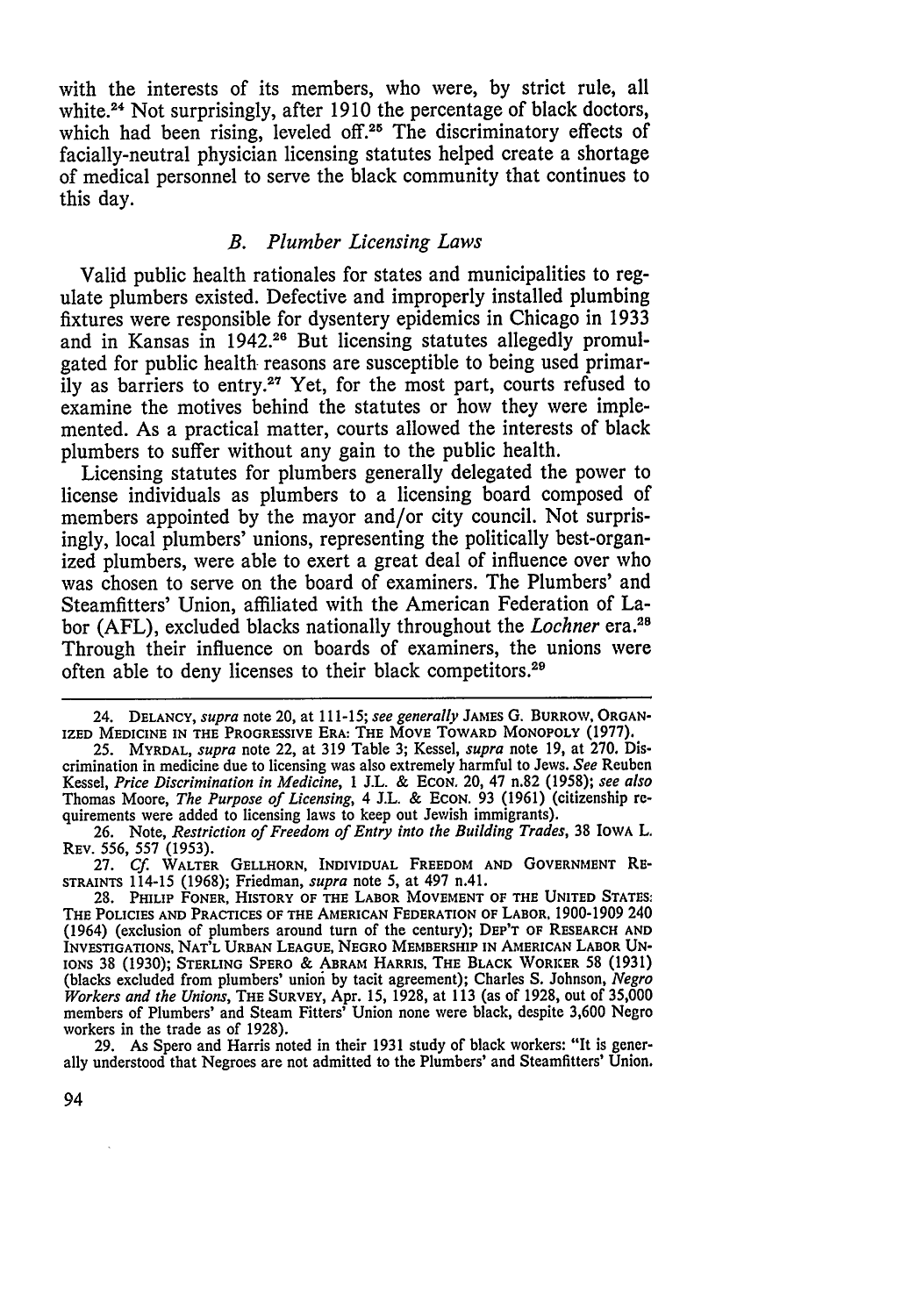with the interests of its members, who were, **by** strict rule, all white.24 Not surprisingly, after **1910** the percentage of black doctors, which had been rising, leveled off.<sup>25</sup> The discriminatory effects of facially-neutral physician licensing statutes helped create a shortage of medical personnel to serve the black community that continues to this day.

## *B. Plumber Licensing Laws*

Valid public health rationales for states and municipalities to regulate plumbers existed. Defective and improperly installed plumbing fixtures were responsible for dysentery epidemics in Chicago in **1933** and in Kansas in 1942.26 But licensing statutes allegedly promulgated for public health reasons are susceptible to being used primarily as barriers to entry.27 Yet, for the most part, courts refused to examine the motives behind the statutes or how they were implemented. As a practical matter, courts allowed the interests of black plumbers to suffer without any gain to the public health.

Licensing statutes for plumbers generally delegated the power to license individuals as plumbers to a licensing board composed of members appointed **by** the mayor and/or city council. Not surprisingly, local plumbers' unions, representing the politically best-organized plumbers, were able to exert a great deal of influence over who was chosen to serve on the board of examiners. The Plumbers' and Steamfitters' Union, affiliated with the American Federation of Labor **(AFL),** excluded blacks nationally throughout the *Lochner* era.28 Through their influence on boards of examiners, the unions were often able to deny licenses to their black competitors.29

<sup>24.</sup> DELANCY, *supra* note 20, at 111-15; *see generally JAMESG*. BURROW, ORGAN-IZED **MEDICINE** IN THE PROGRESSIVE ERA: THE MOVE TOWARD MONOPOLY **(1977).**

**<sup>25.</sup>** MYRDAL, *supra* note 22, at **319** Table **3;** Kessel, *supra* note **19,** at **270.** Discrimination in medicine due to licensing was also extremely harmful to Jews. *See* Reuben Kessel, *Price Discrimination in Medicine,* **1 J.L. & ECON.** 20, 47 n.82 **(1958);** *see also* Thomas Moore, *The Purpose of Licensing,* 4 **J.L. &** ECON. **93 (1961)** (citizenship requirements were added to licensing laws to keep out Jewish immigrants).

**<sup>26.</sup>** Note, *Restriction of Freedom of Entry into the Building Trades,* **38** IOWA L. REV. **556, 557 (1953).**

**<sup>27.</sup> Cf.** WALTER GELLHORN, INDIVIDUAL FREEDOM **AND GOVERNMENT RE-STRAINTS** 114-15 **(1968);** Friedman, *supra* note **5,** at 497 n.41.

**<sup>28.</sup>** PHILIP FONER, HISTORY OF THE LABOR **MOVEMENT** OF THE **UNITED STATES:** THE **POLICIES AND** PRACTICES OF THE **AMERICAN FEDERATION** OF LABOR, **1900-1909** 240 (1964) (exclusion of plumbers around turn of the century); DEP'T OF RESEARCH **AND INVESTIGATIONS, NAT'L URBAN** LEAGUE, **NEGRO** MEMBERSHIP **IN AMERICAN** LABOR **UN-**IONS **38 (1930); STERLING** SPERO **&** ABRAM HARRIS, THE BLACK WORIKER **58 (1931)** (blacks excluded from plumbers' uniofi **by** tacit agreement); Charles **S.** Johnson, *Negro Workers and the Unions,* THE **SURVEY,** Apr. **15, 1928,** at **113** (as of **1928,** out of **35,000** members of Plumbers' and Steam Fitters' Union none were black, despite **3,600** Negro workers in the trade as of **1928).**

**<sup>29.</sup>** As Spero and Harris noted in their **1931** study of black workers: "It is generally understood that Negroes are not admitted to the Plumbers' and Steamfitters' Union.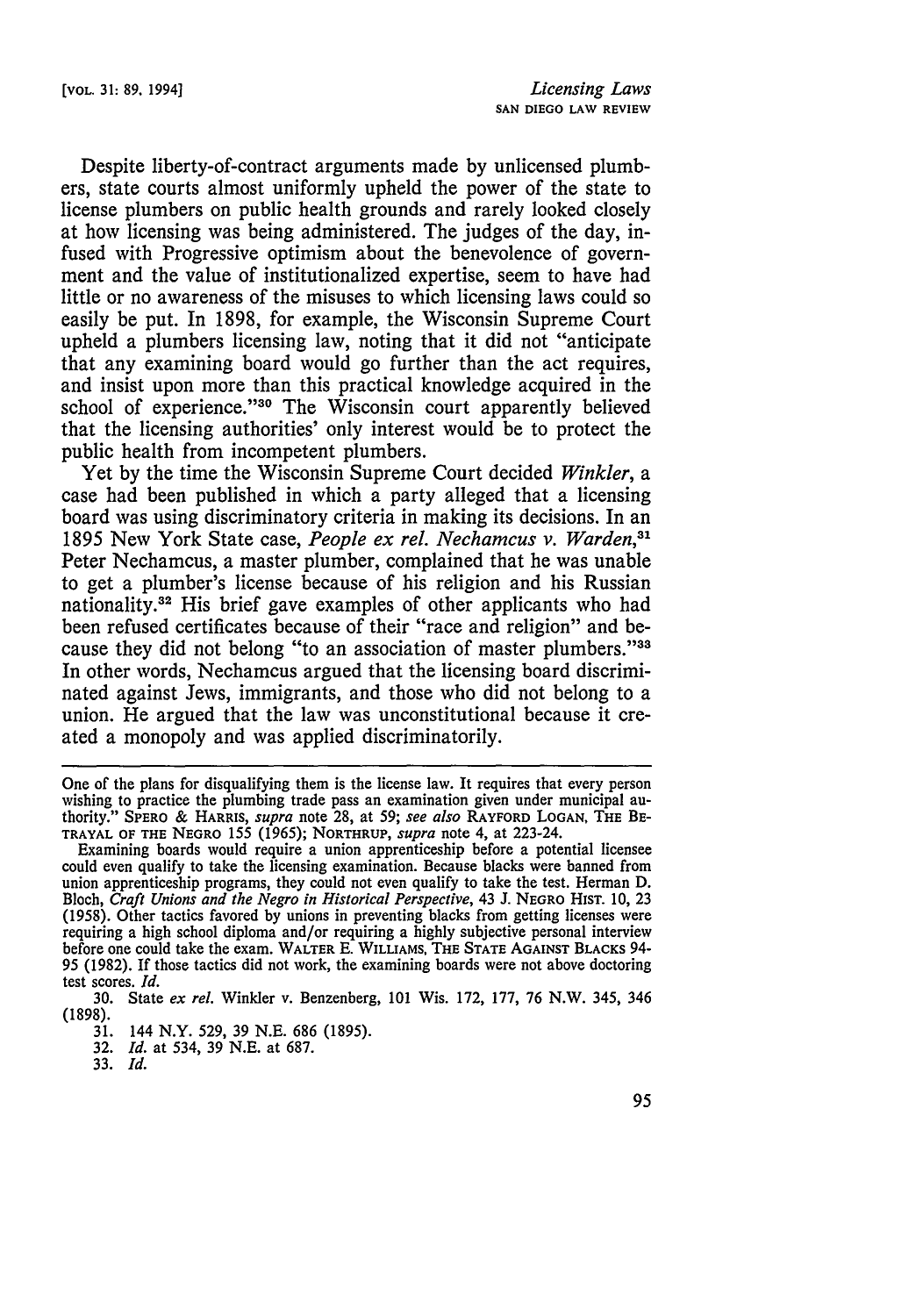Despite liberty-of-contract arguments made by unlicensed plumbers, state courts almost uniformly upheld the power of the state to license plumbers on public health grounds and rarely looked closely at how licensing was being administered. The judges of the day, infused with Progressive optimism about the benevolence of government and the value of institutionalized expertise, seem to have had little or no awareness of the misuses to which licensing laws could so easily be put. In 1898, for example, the Wisconsin Supreme Court upheld a plumbers licensing law, noting that it did not "anticipate that any examining board would go further than the act requires, and insist upon more than this practical knowledge acquired in the school of experience."<sup>30</sup> The Wisconsin court apparently believed that the licensing authorities' only interest would be to protect the public health from incompetent plumbers.

Yet by the time the Wisconsin Supreme Court decided *Winkler, a* case had been published in which a party alleged that a licensing board was using discriminatory criteria in making its decisions. In an 1895 New York State case, *People ex rel. Nechamcus v. Warden,31* Peter Nechamcus, a master plumber, complained that he was unable to get a plumber's license because of his religion and his Russian nationality.32 His brief gave examples of other applicants who had been refused certificates because of their "race and religion" and because they did not belong "to an association of master plumbers."33 In other words, Nechamcus argued that the licensing board discriminated against Jews, immigrants, and those who did not belong to a union. He argued that the law was unconstitutional because it created a monopoly and was applied discriminatorily.

One of the plans for disqualifying them is the license law. It requires that every person wishing to practice the plumbing trade pass an examination given under municipal authority." SPERO & HARRIS, *supra* note 28, at 59; *see also* RAYFORD **LOGAN,** THE BE-TRAYAL OF **THE NEGRO** 155 (1965); NORTHRUP, *supra* note 4, at 223-24.

33. *Id.*

Examining boards would require a union apprenticeship before a potential licensee could even qualify to take the licensing examination. Because blacks were banned from union apprenticeship programs, they could not even qualify to take the test. Herman D. Bloch, *Craft Unions and the Negro in Historical Perspective*, 43 J. NEGRO HIST. 10, 23 (1958). Other tactics favored by unions in preventing blacks from getting licenses were (1958). Other tactics favored by unions in preventing blacks from getting licenses were requiring a high school diploma and/or requiring a highly subjective personal interview before one could take the exam. WALTER E. WILLIAMS, THE **STATE AGAINST** BLACKS 94- 95 (1982). If those tactics did not work, the examining boards were not above doctoring test scores. *Id.*

<sup>30.</sup> State *ex rel.* Winkler v. Benzenberg, 101 Wis. 172, 177, 76 N.W. 345, 346 (1898).

<sup>31. 144</sup> N.Y. 529, 39 N.E. 686 (1895).

<sup>32.</sup> *Id.* at 534, 39 N.E. at 687.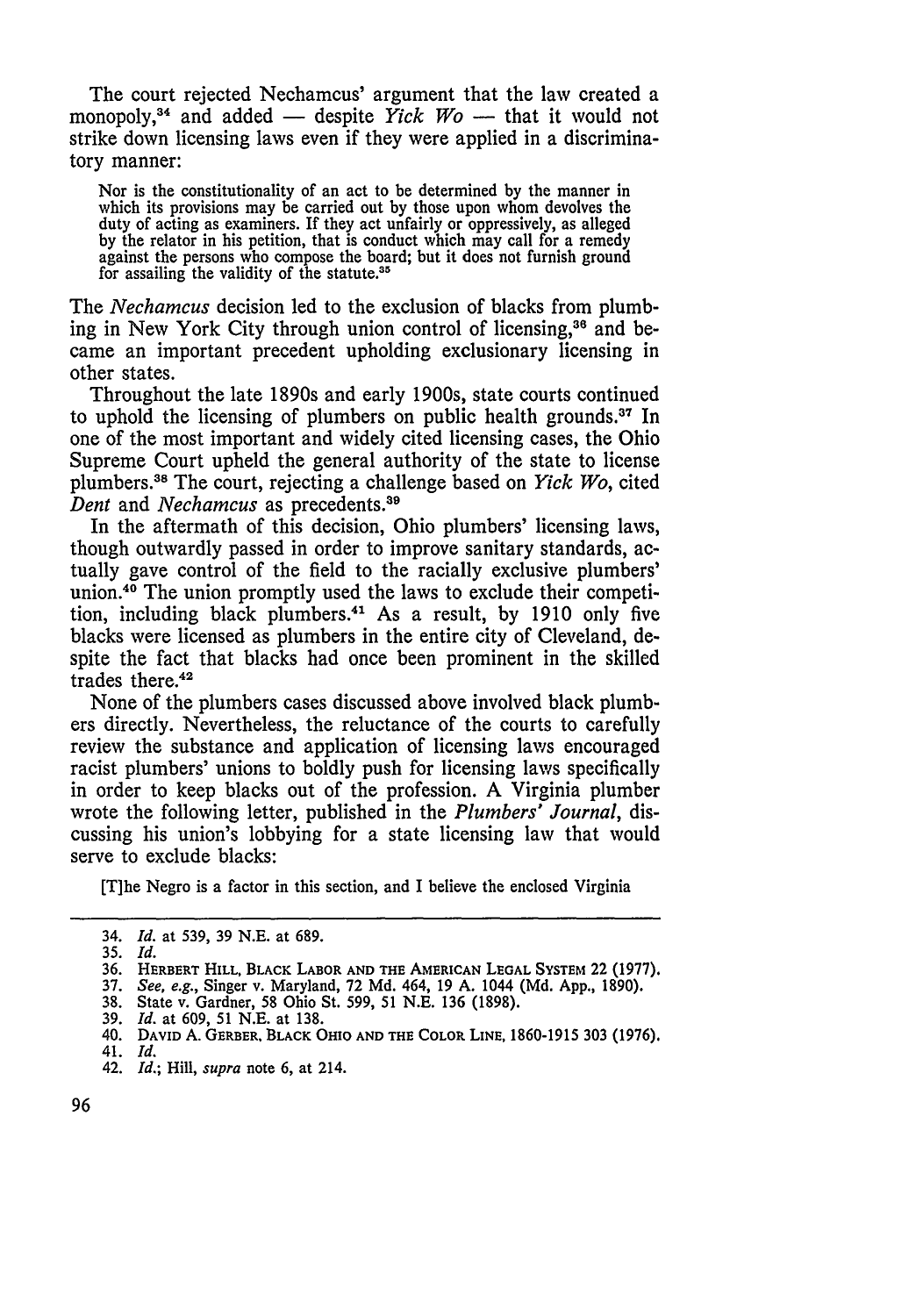The court rejected Nechamcus' argument that the law created a monopoly,<sup>34</sup> and added — despite *Yick Wo* — that it would not strike down licensing laws even if they were applied in a discriminatory manner:

Nor is the constitutionality of an act to be determined by the manner in which its provisions may be carried out by those upon whom devolves the duty of acting as examiners. If they act unfairly or oppressively, as alleged by the relator in his petition, that is conduct which may call for a remedy against the persons who compose the board; but it does not furnish ground for assailing the validity of the statute.<sup>35</sup>

The *Nechamcus* decision led to the exclusion of blacks from plumbing in New York City through union control of licensing,<sup>36</sup> and became an important precedent upholding exclusionary licensing in other states.

Throughout the late 1890s and early 1900s, state courts continued to uphold the licensing of plumbers on public health grounds.37 In one of the most important and widely cited licensing cases, the Ohio Supreme Court upheld the general authority of the state to license plumbers. 8 The court, rejecting a challenge based on *Yick Wo,* cited *Dent* and *Nechamcus* as precedents.39

In the aftermath of this decision, Ohio plumbers' licensing laws, though outwardly passed in order to improve sanitary standards, actually gave control of the field to the racially exclusive plumbers' union.40 The union promptly used the laws to exclude their competition, including black plumbers. 4' As a result, by 1910 only five blacks were licensed as plumbers in the entire city of Cleveland, despite the fact that blacks had once been prominent in the skilled trades there.<sup>42</sup>

None of the plumbers cases discussed above involved black plumbers directly. Nevertheless, the reluctance of the courts to carefully review the substance and application of licensing laws encouraged racist plumbers' unions to boldly push for licensing laws specifically in order to keep blacks out of the profession. A Virginia plumber wrote the following letter, published in the *Plumbers' Journal,* discussing his union's lobbying for a state licensing law that would serve to exclude blacks:

[T]he Negro is a factor in this section, and I believe the enclosed Virginia

38. State v. Gardner, **58** Ohio St. 599, 51 N.E. 136 (1898).

<sup>34.</sup> *Id.* at 539, 39 N.E. at 689.

**<sup>35.</sup>** *Id.*

**<sup>36.</sup>** HERBERT HILL, BLACK **LABOR AND THE AMERICAN LEGAL** SYSTEM **22 (1977).**

<sup>37.</sup> *See, e.g.,* Singer v. Maryland, **72** Md. 464, 19 A. 1044 (Md. **App.,** 1890).

<sup>39.</sup> *Id.* at 609, 51 N.E. at 138.

<sup>40.</sup> DAVID A. GERBER. **BLACK** OHIO **AND** THE COLOR **LINE,** 1860-1915 303 **(1976).** 41. *Id.*

<sup>42.</sup> *Id.;* Hill, *supra* note 6, at 214.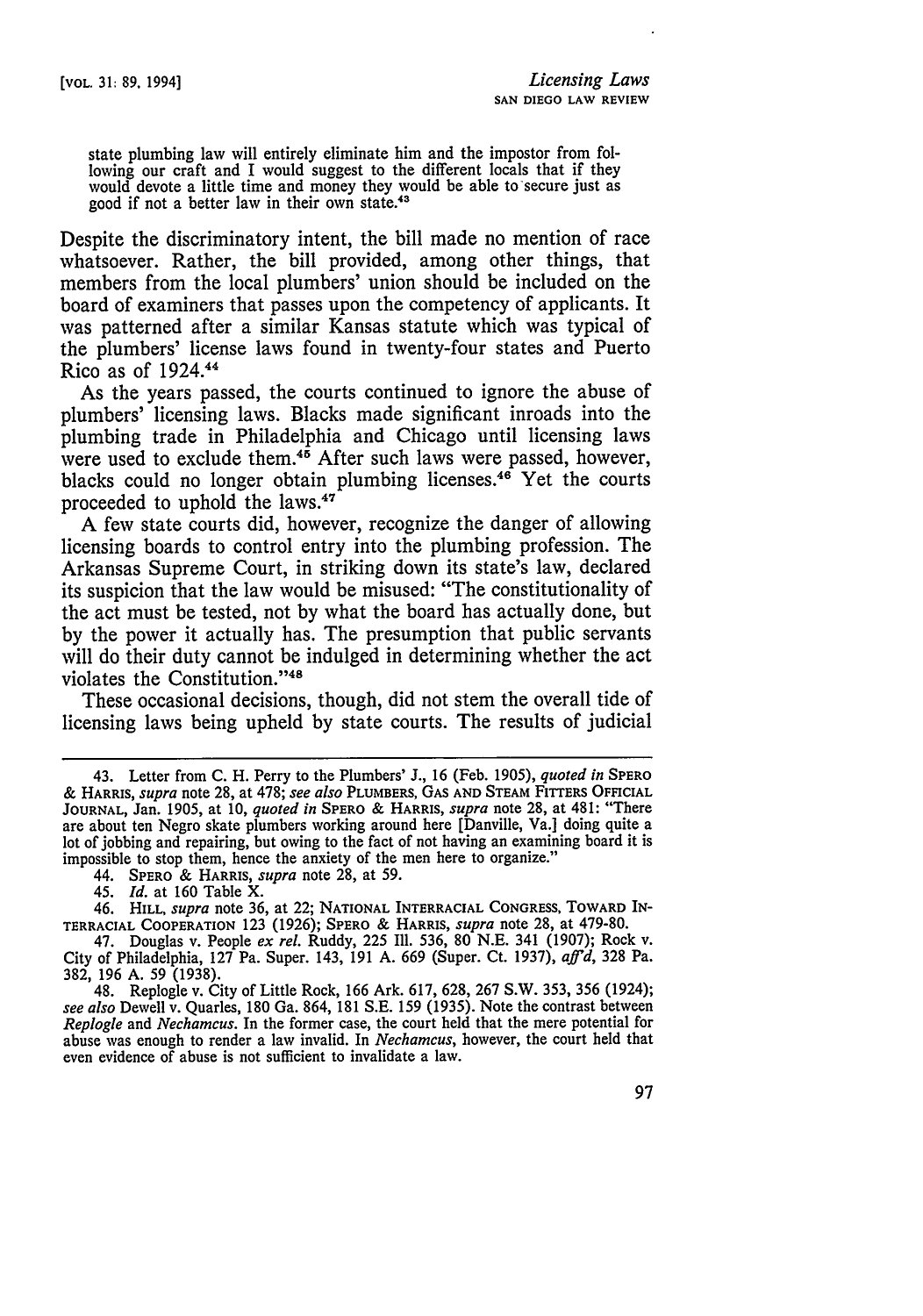state plumbing law will entirely eliminate him and the impostor from following our craft and I would suggest to the different locals that if they would devote a little time and money they would be able to secure just as good if not a better law in their own state.<sup>43</sup>

Despite the discriminatory intent, the bill made no mention of race whatsoever. Rather, the bill provided, among other things, that members from the local plumbers' union should be included on the board of examiners that passes upon the competency of applicants. It was patterned after a similar Kansas statute which was typical **of** the plumbers' license laws found in twenty-four states and Puerto Rico as of 1924. <sup>44</sup>

As the years passed, the courts continued to ignore the abuse of plumbers' licensing laws. Blacks made significant inroads into the plumbing trade in Philadelphia and Chicago until licensing laws were used to exclude them.<sup>45</sup> After such laws were passed, however, blacks could no longer obtain plumbing licenses.<sup>46</sup> Yet the courts proceeded to uphold the laws.<sup>47</sup>

A few state courts did, however, recognize the danger of allowing licensing boards to control entry into the plumbing profession. The Arkansas Supreme Court, in striking down its state's law, declared its suspicion that the law would be misused: "The constitutionality of the act must be tested, not by what the board has actually done, but by the power it actually has. The presumption that public servants will do their duty cannot be indulged in determining whether the act violates the Constitution. '48

These occasional decisions, though, did not stem the overall tide of licensing laws being upheld by state courts. The results of judicial

44. SPERO & **HARRIS,** *supra* note 28, at **59.**

45. *Id.* at **160** Table X.

46. **HILL,** *supra* note 36, at 22; NATIONAL INTERRACIAL **CONGRESS,** TOWARD **IN-**TERRACIAL COOPERATION 123 (1926); SPERO & **HARRIS,** *supra* note 28, at **479-80.**

47. Douglas v. People *ex rel.* Ruddy, 225 **Ill.** 536, 80 **N.E.** 341 (1907); Rock v. City of Philadelphia, **127** Pa. Super. 143, 191 **A.** 669 (Super. Ct. 1937), *afl'd,* 328 Pa. **382, 196 A. 59 (1938).**

48. Replogle v. City of Little Rock, 166 Ark. 617, 628, 267 S.W. 353, 356 (1924); *see also* Dewell v. Quarles, 180 Ga. 864, 181 S.E. 159 (1935). Note the contrast between *Replogle* and *Nechamcus.* In the former case, the court held that the mere potential for abuse was enough to render a law invalid. In *Nechamcus,* however, the court held that even evidence of abuse is not sufficient to invalidate a law.

<sup>43.</sup> Letter from C. H. Perry to the Plumbers' J., 16 (Feb. 1905), *quoted in* SPERO & **HARRIS,** *supra* note **28,** at 478; *see also* PLUMBERS, **GAS AND STEAM** FITTERS **OFFICIAL JOURNAL,** Jan. 1905, at 10, *quoted in* SPERO **&** HARRIS, *supra* note 28, at 481: "There are about ten Negro skate plumbers working around here [Danville, Va.] doing quite a lot of jobbing and repairing, but owing to the fact of not having an examining board it is impossible to stop them, hence the anxiety of the men here to organize."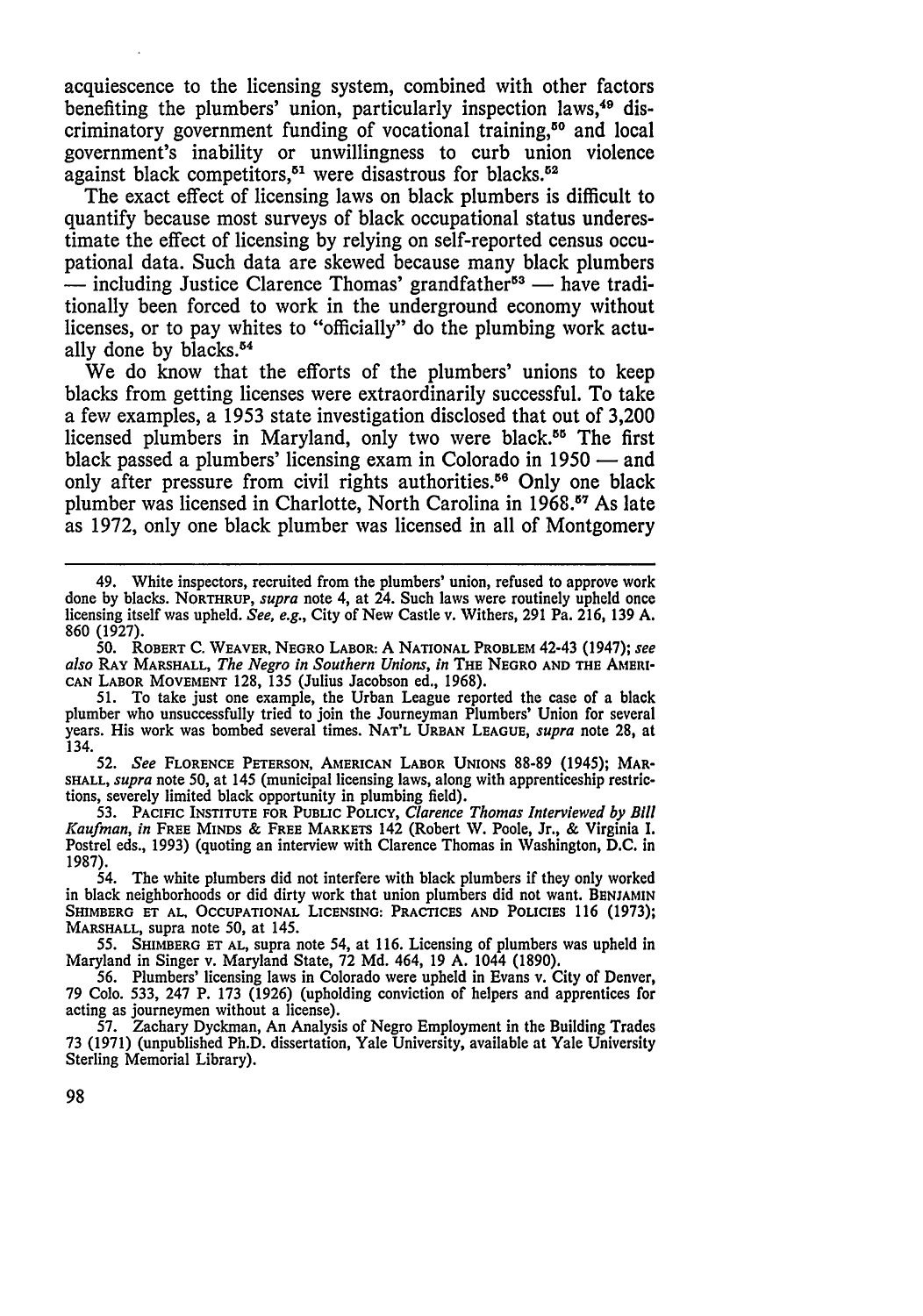acquiescence to the licensing system, combined with other factors benefiting the plumbers' union, particularly inspection laws.<sup>49</sup> discriminatory government funding of vocational training,<sup>50</sup> and local government's inability or unwillingness to curb union violence against black competitors.<sup>51</sup> were disastrous for blacks.<sup>52</sup>

The exact effect of licensing laws on black plumbers is difficult to quantify because most surveys of black occupational status underestimate the effect of licensing **by** relying on self-reported census occupational data. Such data are skewed because many black plumbers -- including Justice Clarence Thomas' grandfather<sup>53</sup> - have traditionally been forced to work in the underground economy without licenses, or to pay whites to "officially" do the plumbing work actually done by blacks.<sup>54</sup>

We do know that the efforts of the plumbers' unions to keep blacks from getting licenses were extraordinarily successful. To take a few examples, a **1953** state investigation disclosed that out of **3,200** licensed plumbers in Maryland, only two were black.<sup>55</sup> The first black passed a plumbers' licensing exam in Colorado in **1950 -** and only after pressure from civil rights authorities.<sup>56</sup> Only one black plumber was licensed in Charlotte, North Carolina in **1968. 7** As late as **1972,** only one black plumber was licensed in all of Montgomery

*50.* ROBERT C. WEAVER, NEGRO LABOR: A NATIONAL PROBLEM 42-43 (1947); *see also* RAY MARSHALL, *The Negro in Southern Unions, in* THE **NEGRO AND THE** AMERI-**CAN** LABOR MOVEMENT 128, 135 (Julius Jacobson ed., 1968).

51. To take just one example, the Urban League reported the case of a black plumber who unsuccessfully tried to join the Journeyman Plumbers' Union for several years. His work was bombed several times. NAT'L **URBAN LEAGUE,** *supra* note **28,** at 134.

*52. See* FLORENCE PETERSON, AMERICAN LABOR UNIONS 88-89 (1945); MAR-**SHALL,** *supra* note 50, at 145 (municipal licensing laws, along with apprenticeship restrictions, severely limited black opportunity in plumbing field).

**53.** PACIFIC **INSTITUTE** FOR PUBLIC POLICY, *Clarence Thomas Interviewed by* Bill *Kaufman, in* FREE MINDS & FREE MARKETS 142 (Robert W. Poole, Jr., & Virginia I. Postrel eds., 1993) (quoting an interview with Clarence Thomas in Washington, D.C. in 1987).

54. The white plumbers did not interfere with black plumbers if they only worked in black neighborhoods or did dirty work that union plumbers did not want. BENJAMIN SHIMBERG **ET AL, OCCUPATIONAL LICENSING: PRACTICES AND POLICIES 116 (1973);** MARSHALL, supra note 50, at 145.

**55.** SHIMBERG **ET AL,** supra note 54, at **116.** Licensing of plumbers was upheld in Maryland in Singer v. Maryland State, **72 Md.** 464, 19 **A.** 1044 (1890).

56. Plumbers' licensing laws in Colorado were upheld in Evans v. City of Denver, **79** Colo. 533, 247 P. **173** (1926) (upholding conviction of helpers and apprentices for acting as journeymen without a license).

**57.** Zachary Dyckman, An Analysis of Negro Employment in the Building Trades **73 (1971)** (unpublished Ph.D. dissertation, Yale University, available at Yale University Sterling Memorial Library).

<sup>49.</sup> White inspectors, recruited from the plumbers' union, refused to approve work done by blacks. NORTHRUP, *supra* note 4, at 24. Such laws were routinely upheld once licensing itself was upheld. *See, e.g.,* City of New Castle v. Withers, 291 Pa. 216, 139 A. 860 (1927).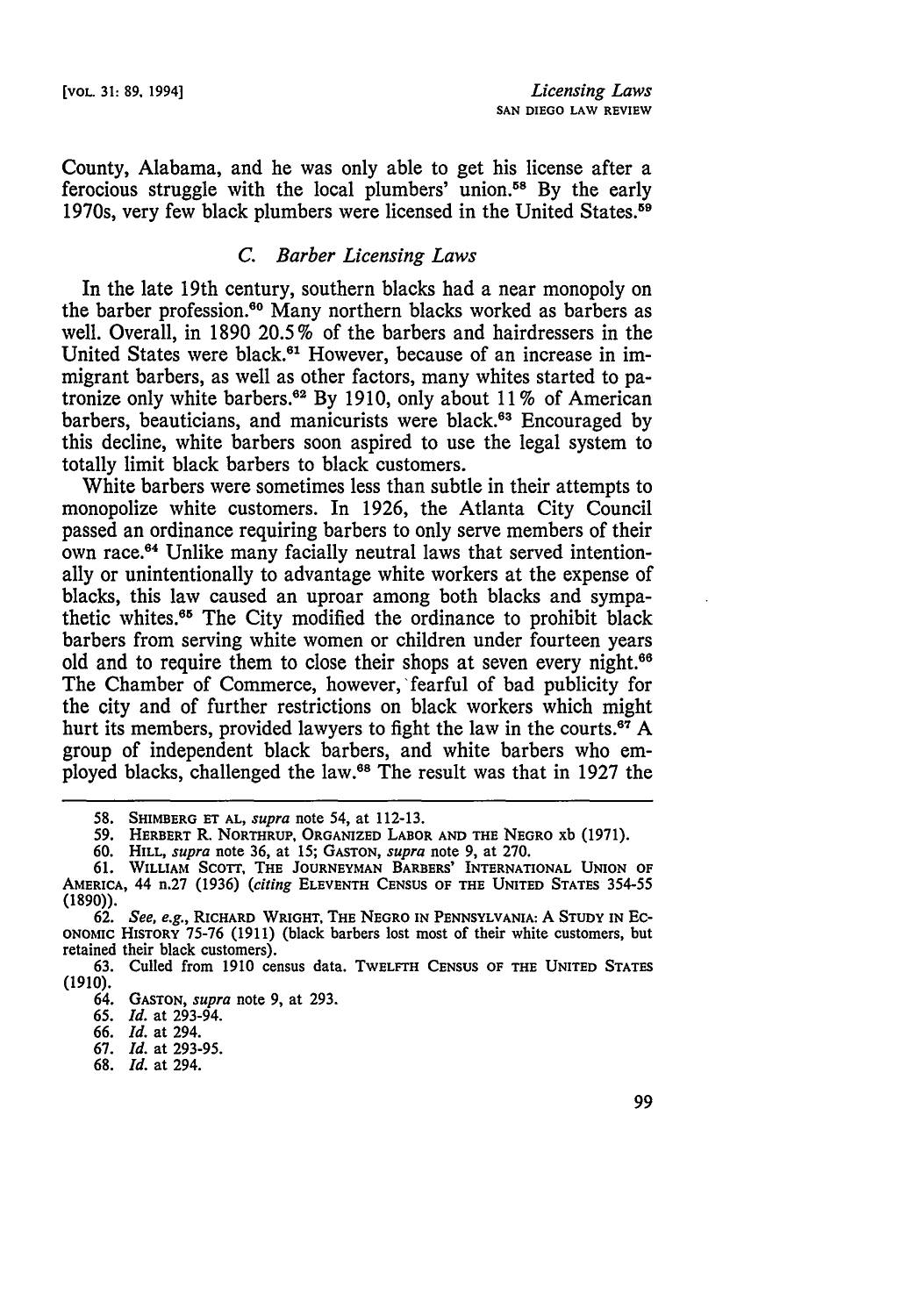County, Alabama, and he was only able to get his license after a ferocious struggle with the local plumbers' union.<sup>58</sup> By the early 1970s, very few black plumbers were licensed in the United States.<sup>59</sup>

## *C. Barber Licensing Laws*

In the late 19th century, southern blacks had a near monopoly on the barber profession.<sup>60</sup> Many northern blacks worked as barbers as well. Overall, in 1890 20.5% of the barbers and hairdressers in the United States were black.<sup>61</sup> However, because of an increase in immigrant barbers, as well as other factors, many whites started to patronize only white barbers.<sup>62</sup> By 1910, only about 11% of American barbers, beauticians, and manicurists were black.<sup>63</sup> Encouraged by this decline, white barbers soon aspired to use the legal system to totally limit black barbers to black customers.

White barbers were sometimes less than subtle in their attempts to monopolize white customers. In 1926, the Atlanta City Council passed an ordinance requiring barbers to only serve members of their own race.<sup>64</sup> Unlike many facially neutral laws that served intentionally or unintentionally to advantage white workers at the expense of blacks, this law caused an uproar among both blacks and sympathetic whites.<sup>65</sup> The City modified the ordinance to prohibit black barbers from serving white women or children under fourteen years old and to require them to close their shops at seven every night.<sup>66</sup> The Chamber of Commerce, however, fearful of bad publicity for the city and of further restrictions on black workers which might hurt its members, provided lawyers to fight the law in the courts.<sup>67</sup> A group of independent black barbers, and white barbers who employed blacks, challenged the law.68 The result was that in 1927 the

**<sup>58.</sup> SHIMBERG ET AL,** *supra* note 54, **at 112-13.**

**<sup>59.</sup> HERBERT** R. **NORTHRUP, ORGANIZED LABOR AND THE NEGRO xb (1971).**

**<sup>60.</sup> HILL,** *supra* **note 36, at 15; GASTON,** *supra* **note 9,** at **270.**

**<sup>61.</sup> WILLIAM ScoTr, THE JOURNEYMAN BARBERS' INTERNATIONAL UNION OF AMERICA,** 44 **n.27 (1936)** *(citing* **ELEVENTH CENSUS OF THE UNITED STATES 354-55 (1890)).**

**<sup>62.</sup>** *See, e.g.,* **RICHARD WRIGHT, THE NEGRO IN PENNSYLVANIA:** A **STUDY IN EC-ONOMIC HISTORY 75-76 (1911) (black barbers lost most of their** white **customers, but** retained **their** black **customers).**

**<sup>63.</sup>** Culled **from 1910** census **data. TWELFTH CENSUS OF THE UNITED STATES (1910).**

<sup>64.</sup> **GASTON,** *supra* **note 9, at 293.**

**<sup>65.</sup>** *Id.* **at** 293-94.

**<sup>66.</sup>** *Id.* **at** 294.

**<sup>67.</sup>** *Id.* **at 293-95.**

**<sup>68.</sup>** *Id.* **at** 294.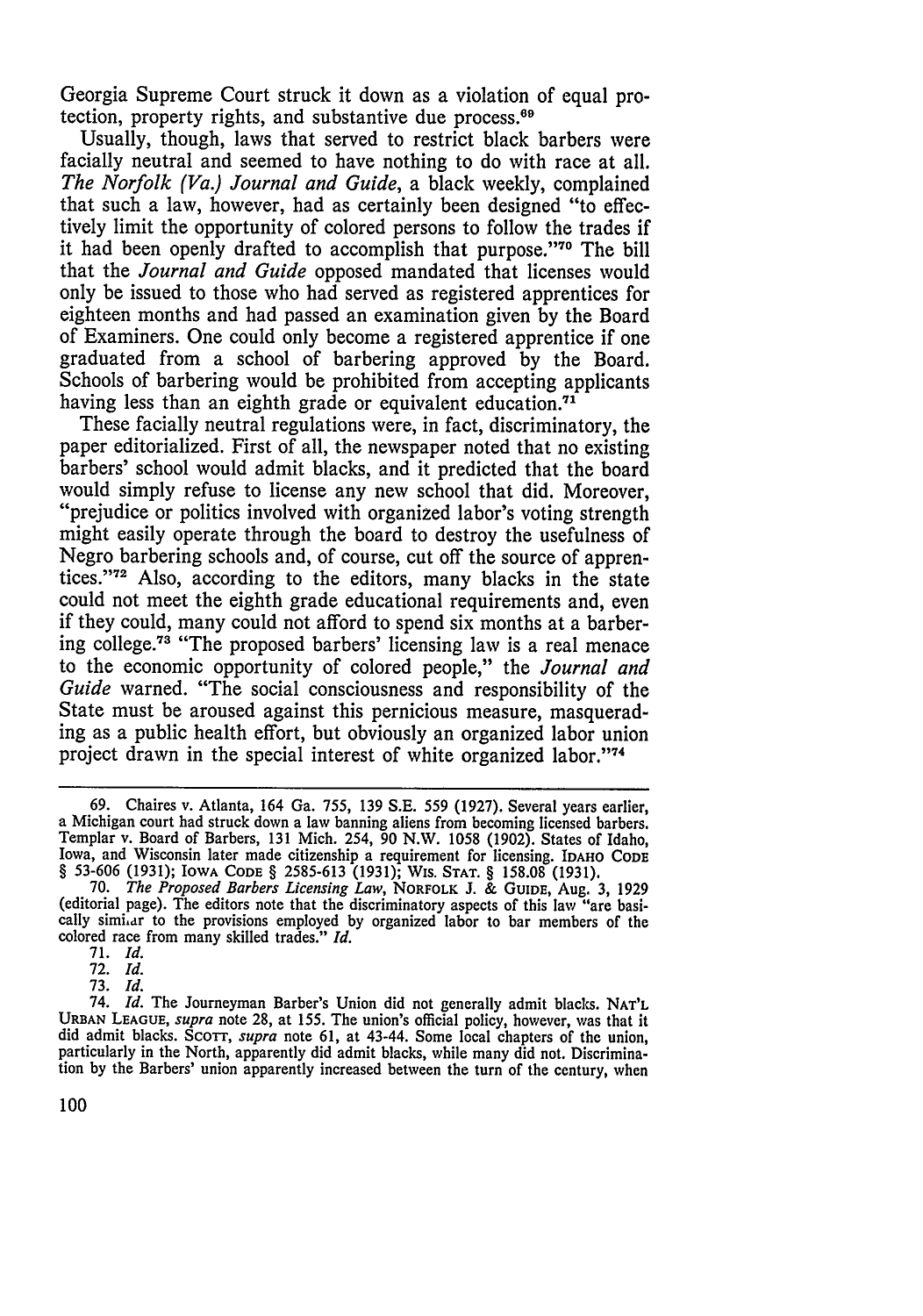Georgia Supreme Court struck it down as a violation of equal protection, property rights, and substantive due process.<sup>69</sup>

Usually, though, laws that served to restrict black barbers were facially neutral and seemed to have nothing to do with race at all.<br>The Norfolk (Va.) Journal and Guide, a black weekly, complained that such a law, however, had as certainly been designed "to effectively limit the opportunity of colored persons to follow the trades if it had been openly drafted to accomplish that purpose."<sup>70</sup> The bill that the *Journal and Guide* opposed mandated that licenses would only be issued to those who had served as registered apprentices for eighteen months and had passed an examination given by the Board of Examiners. One could only become a registered apprentice if one graduated from a school of barbering approved by the Board. Schools of barbering would be prohibited from accepting applicants having less than an eighth grade or equivalent education.<sup>71</sup>

These facially neutral regulations were, in fact, discriminatory, the paper editorialized. First of all, the newspaper noted that no existing barbers' school would admit blacks, and it predicted that the board would simply refuse to license any new school that did. Moreover, "prejudice or politics involved with organized labor's voting strength might easily operate through the board to destroy the usefulness of Negro barbering schools and, of course, cut off the source of apprentices."<sup>72</sup> Also, according to the editors, many blacks in the state could not meet the eighth grade educational requirements and, even if they could, many could not afford to spend six months at a barbering college.73 "The proposed barbers' licensing law is a real menace to the economic opportunity of colored people," the *Journal and Guide* warned. "The social consciousness and responsibility of the State must be aroused against this pernicious measure, masquerading as a public health effort, but obviously an organized labor union project drawn in the special interest of white organized labor."74

<sup>69.</sup> Chaires v. Atlanta, 164 Ga. 755, 139 S.E. 559 (1927). Several years earlier, a Michigan court had struck down a law banning aliens from becoming licensed barbers. Templar v. Board of Barbers, 131 Mich. 254, 90 N.W. 1058 (1902). States of Idaho, Iowa, and Wisconsin later made citizenship a requirement for licensing. **IDAHO** CODE § 53-606 (1931); IOWA **CODE** § 2585-613 **(1931);** WIs. **STAT.** § 158.08 (1931). 70. *The Proposed Barbers Licensing Law,* NORFOLK **J.** & GUIDE, Aug. 3, 1929

<sup>(</sup>editorial page). The editors note that the discriminatory aspects of this law "are basi-cally simiar to the provisions employed by organized labor to bar members of the colored race from many skilled trades." *Id.*

<sup>71.</sup> *Id.*

<sup>72.</sup> *Id.*

<sup>73.</sup> *Id.*

<sup>74.</sup> *Id.* The Journeyman Barber's Union did not generally admit blacks. **NAT'L URBAN LEAGUE,** *supra* note 28, at 155. The union's official policy, however, was that it did admit blacks. ScoTr, *supra* note 61, at 43-44. Some local chapters of the union, particularly in the North, apparently did admit blacks, while many did not. Discrimination by the Barbers' union apparently increased between the turn of the century, when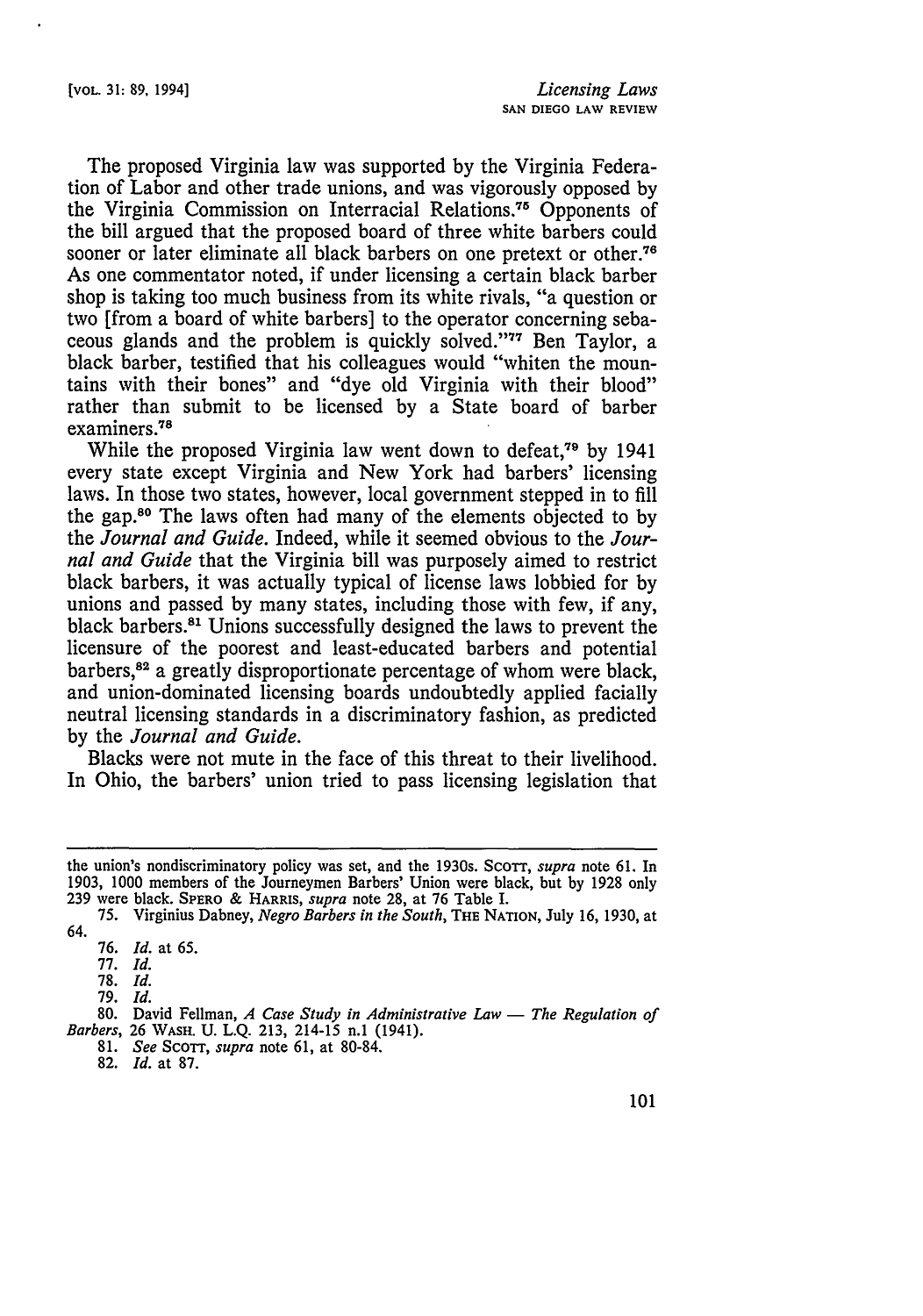The proposed Virginia law was supported by the Virginia Federation of Labor and other trade unions, and was vigorously opposed by the Virginia Commission on Interracial Relations.<sup>75</sup> Opponents of the bill argued that the proposed board of three white barbers could sooner or later eliminate all black barbers on one pretext or other.<sup>76</sup> As one commentator noted, if under licensing a certain black barber shop is taking too much business from its white rivals, "a question or two [from a board of white barbers] to the operator concerning sebaceous glands and the problem is quickly solved."<sup>77</sup> Ben Taylor, a black barber, testified that his colleagues would "whiten the mountains with their bones" and "dye old Virginia with their blood" rather than submit to be licensed by a State board of barber examiners.<sup>78</sup>

While the proposed Virginia law went down to defeat.<sup>79</sup> by 1941 every state except Virginia and New York had barbers' licensing laws. In those two states, however, local government stepped in to fill the gap.80 The laws often had many of the elements objected to by the *Journal and Guide.* Indeed, while it seemed obvious to the *Journal and Guide* that the Virginia bill was purposely aimed to restrict black barbers, it was actually typical of license laws lobbied for by unions and passed by many states, including those with few, if any, black barbers.<sup>81</sup> Unions successfully designed the laws to prevent the licensure of the poorest and least-educated barbers and potential barbers,<sup>82</sup> a greatly disproportionate percentage of whom were black, and union-dominated licensing boards undoubtedly applied facially neutral licensing standards in a discriminatory fashion, as predicted by the *Journal and Guide.*

Blacks were not mute in the face of this threat to their livelihood. In Ohio, the barbers' union tried to pass licensing legislation that

78. *Id.*

79. *Id.*

81. *See* ScoTT, *supra* note 61, at 80-84.

the union's nondiscriminatory policy was set, and the 1930s. Scorr, *supra* note 61. In 1903, 1000 members of the Journeymen Barbers' Union were black, but by 1928 only **239** were black. **SPERO** & HARRIS, *supra* note **28,** at **76** Table I.

<sup>75.</sup> Virginius Dabney, *Negro Barbers in the South,* THE NATION, July 16, 1930, at 64.

<sup>76.</sup> *Id.* at 65.

<sup>77.</sup> *Id.*

<sup>80.</sup> David Fellman, *A Case Study in Administrative Law - The Regulation of Barbers,* 26 WASH. U. L.Q. 213, 214-15 n.1 (1941).

<sup>82.</sup> *Id.* at 87.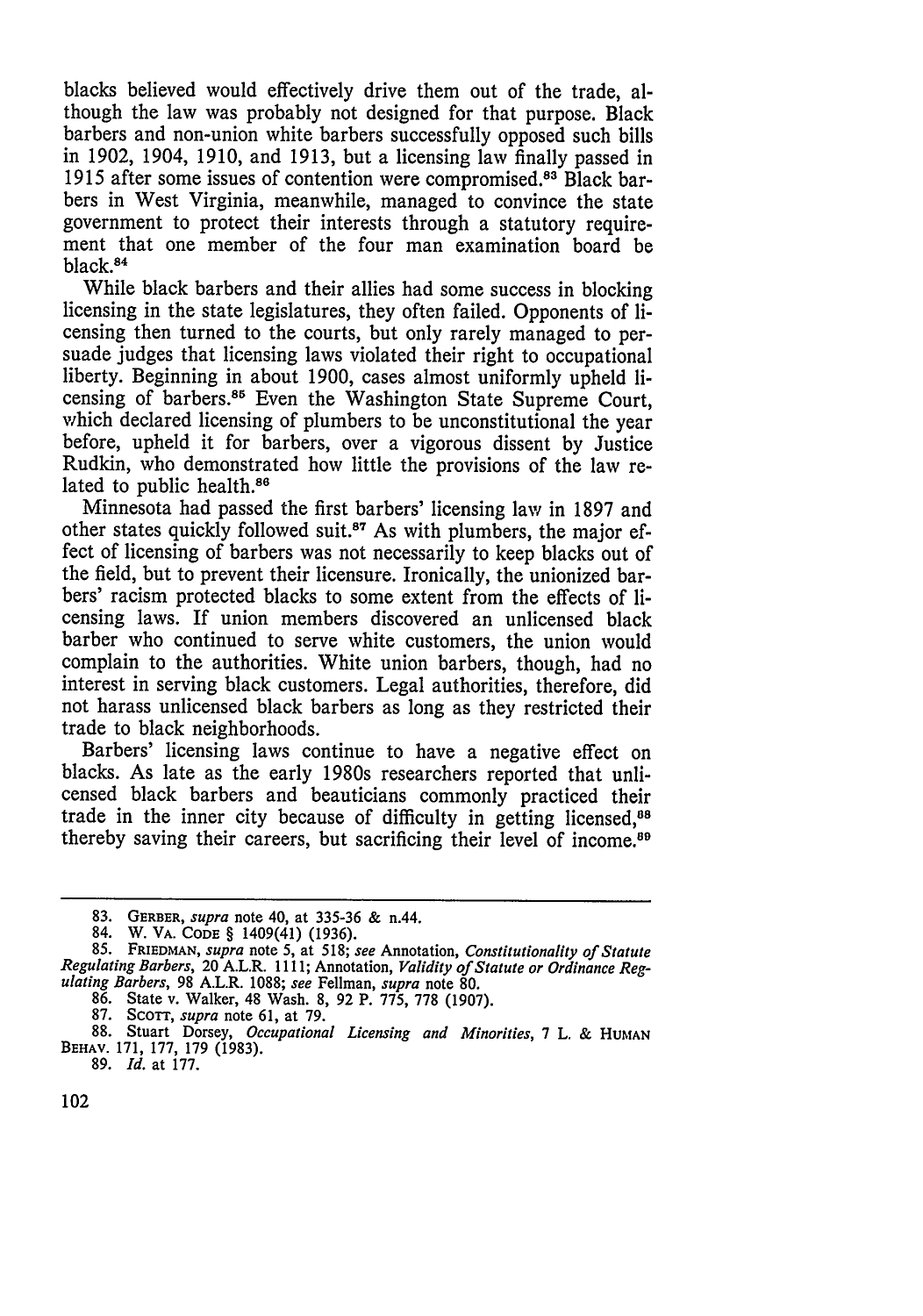blacks believed would effectively drive them out of the trade, although the law was probably not designed for that purpose. Black barbers and non-union white barbers successfully opposed such bills in 1902, 1904, 1910, and 1913, but a licensing law finally passed in 1915 after some issues of contention were compromised. 83 Black barbers in West Virginia, meanwhile, managed to convince the state government to protect their interests through a statutory requirement that one member of the four man examination board be black.<sup>84</sup>

While black barbers and their allies had some success in blocking licensing in the state legislatures, they often failed. Opponents of licensing then turned to the courts, but only rarely managed to per- suade judges that licensing laws violated their right to occupational liberty. Beginning in about 1900, cases almost uniformly upheld licensing of barbers.<sup>85</sup> Even the Washington State Supreme Court, which declared licensing of plumbers to be unconstitutional the year before, upheld it for barbers, over a vigorous dissent by Justice Rudkin, who demonstrated how little the provisions of the law related to public health.<sup>86</sup>

Minnesota had passed the first barbers' licensing law in 1897 and other states quickly followed suit.<sup>87</sup> As with plumbers, the major effect of licensing of barbers was not necessarily to keep blacks out of the field, but to prevent their licensure. Ironically, the unionized barbers' racism protected blacks to some extent from the effects of licensing laws. If union members discovered an unlicensed black barber who continued to serve white customers, the union would complain to the authorities. White union barbers, though, had no interest in serving black customers. Legal authorities, therefore, did not harass unlicensed black barbers as long as they restricted their trade to black neighborhoods.

Barbers' licensing laws continue to have a negative effect on blacks. As late as the early 1980s researchers reported that unlicensed black barbers and beauticians commonly practiced their trade in the inner city because of difficulty in getting licensed,<sup>88</sup> thereby saving their careers, but sacrificing their level of income.<sup>89</sup>

87. ScoTT, *supra* note 61, at 79.

**<sup>83.</sup>** GERBER, *supra* note 40, at **335-36 &** n.44.

<sup>84.</sup> W. VA. **CODE** § 1409(41) (1936).

**<sup>85.</sup>** FRIEDMAN, *supra* note 5, at 518; *see* Annotation, *Constitutionality of Statute Regulating Barbers,* 20 A.L.R. 1111; Annotation, *Validity of Statute or Ordinance Regulating Barbers,* 98 A.L.R. 1088; *see* Fellman, *supra* note 80.

<sup>86.</sup> State v. Walker, 48 Wash. 8, 92 P. **775,** 778 (1907).

<sup>88.</sup> Stuart Dorsey, *Occupational Licensing and Minorities,* 7 L. & **HUMAN** BEHAV. 171, 177, 179 (1983). 89. *Id.* at 177.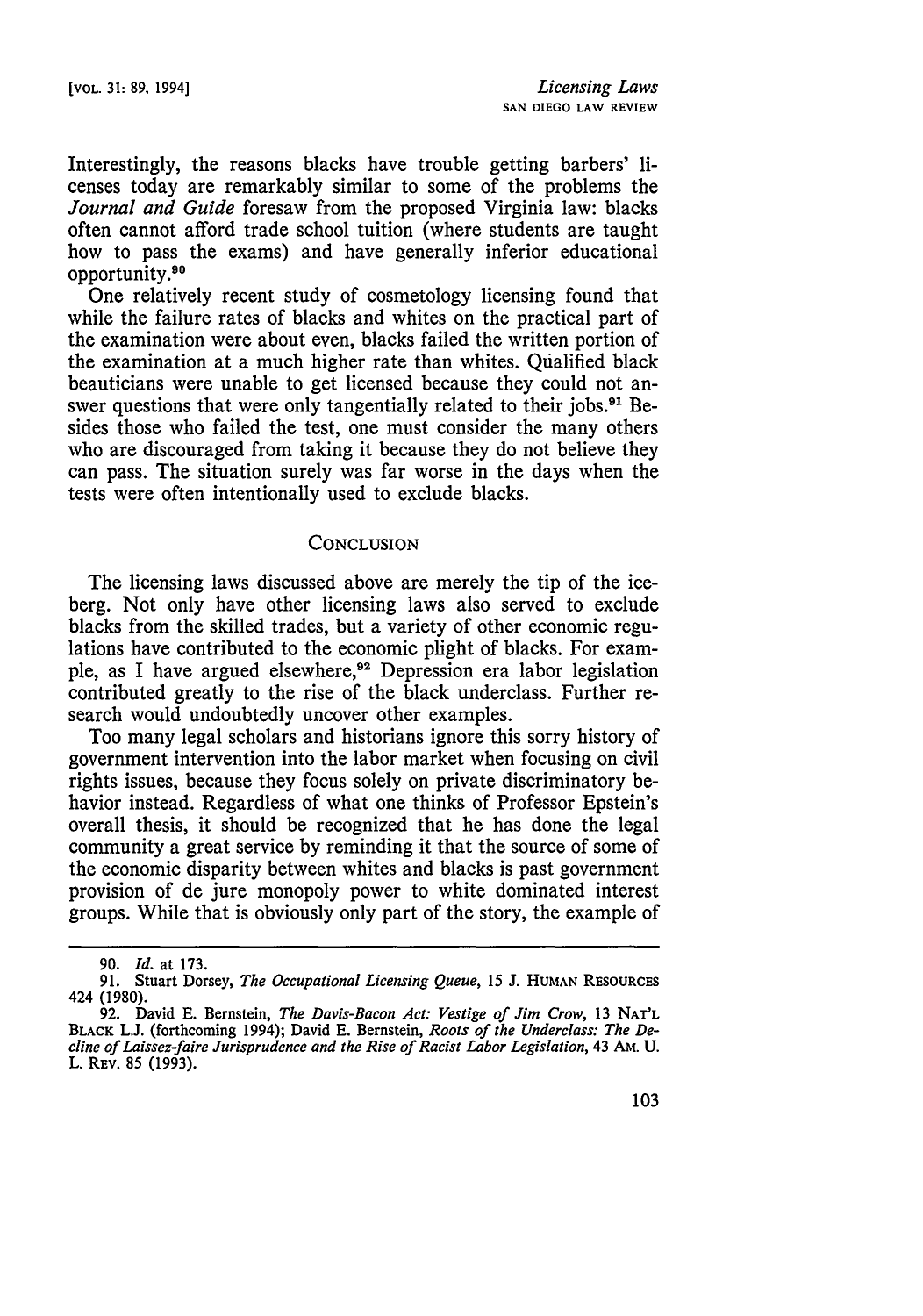Interestingly, the reasons blacks have trouble getting barbers' licenses today are remarkably similar to some of the problems the *Journal and Guide* foresaw from the proposed Virginia law: blacks often cannot afford trade school tuition (where students are taught how to pass the exams) and have generally inferior educational opportunity.<sup>90</sup>

One relatively recent study of cosmetology licensing found that while the failure rates of blacks and whites on the practical part of the examination were about even, blacks failed the written portion of the examination at a much higher rate than whites. Qualified black beauticians were unable to get licensed because they could not answer questions that were only tangentially related to their jobs.<sup>91</sup> Besides those who failed the test, one must consider the many others who are discouraged from taking it because they do not believe they can pass. The situation surely was far worse in the days when the tests were often intentionally used to exclude blacks.

#### **CONCLUSION**

The licensing laws discussed above are merely the tip of the iceberg. Not only have other licensing laws also served to exclude blacks from the skilled trades, but a variety of other economic regulations have contributed to the economic plight of blacks. For example, as I have argued elsewhere, 92 Depression era labor legislation contributed greatly to the rise of the black underclass. Further research would undoubtedly uncover other examples.

Too many legal scholars and historians ignore this sorry history of government intervention into the labor market when focusing on civil rights issues, because they focus solely on private discriminatory behavior instead. Regardless of what one thinks of Professor Epstein's overall thesis, it should be recognized that he has done the legal community a great service by reminding it that the source of some of the economic disparity between whites and blacks is past government provision of de jure monopoly power to white dominated interest groups. While that is obviously only part of the story, the example of

<sup>90.</sup> *Id.* at 173.

**<sup>91.</sup>** Stuart Dorsey, *The Occupational Licensing Queue,* 15 J. **HUMAN** RESOURCES 424 (1980).

<sup>92.</sup> David E. Bernstein, *The Davis-Bacon Act. Vestige of Jim Crow,* 13 **NAT'L** BLACK L.J. (forthcoming 1994); David E. Bernstein, *Roots of the Underclass: The Decline of Laissez-faire Jurisprudence and the Rise of Racist Labor Legislation,* 43 AM. U. L. **REV.** 85 (1993).